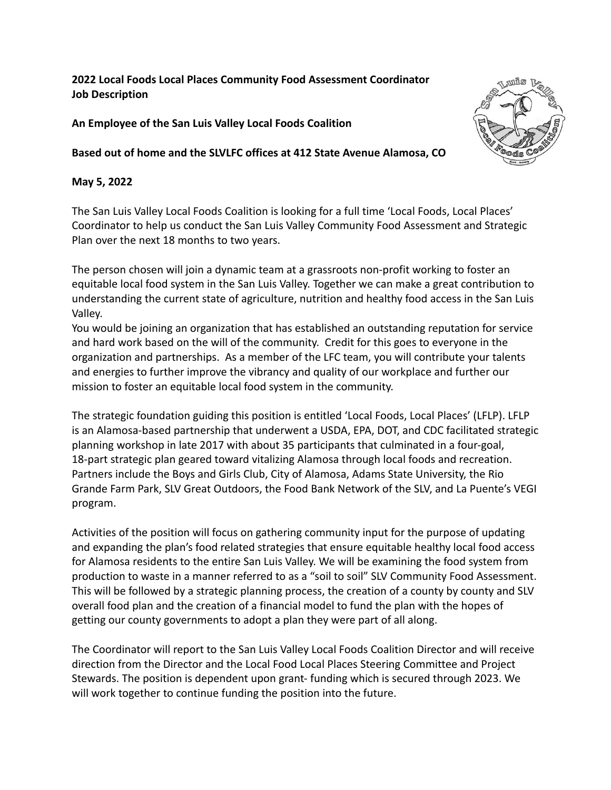**2022 Local Foods Local Places Community Food Assessment Coordinator Job Description**

**An Employee of the San Luis Valley Local Foods Coalition**



**Based out of home and the SLVLFC offices at 412 State Avenue Alamosa, CO**

# **May 5, 2022**

The San Luis Valley Local Foods Coalition is looking for a full time 'Local Foods, Local Places' Coordinator to help us conduct the San Luis Valley Community Food Assessment and Strategic Plan over the next 18 months to two years.

The person chosen will join a dynamic team at a grassroots non-profit working to foster an equitable local food system in the San Luis Valley. Together we can make a great contribution to understanding the current state of agriculture, nutrition and healthy food access in the San Luis Valley.

You would be joining an organization that has established an outstanding reputation for service and hard work based on the will of the community. Credit for this goes to everyone in the organization and partnerships. As a member of the LFC team, you will contribute your talents and energies to further improve the vibrancy and quality of our workplace and further our mission to foster an equitable local food system in the community.

The strategic foundation guiding this position is entitled 'Local Foods, Local Places' (LFLP). LFLP is an Alamosa-based partnership that underwent a USDA, EPA, DOT, and CDC facilitated strategic planning workshop in late 2017 with about 35 participants that culminated in a four-goal, 18-part strategic plan geared toward vitalizing Alamosa through local foods and recreation. Partners include the Boys and Girls Club, City of Alamosa, Adams State University, the Rio Grande Farm Park, SLV Great Outdoors, the Food Bank Network of the SLV, and La Puente's VEGI program.

Activities of the position will focus on gathering community input for the purpose of updating and expanding the plan's food related strategies that ensure equitable healthy local food access for Alamosa residents to the entire San Luis Valley. We will be examining the food system from production to waste in a manner referred to as a "soil to soil" SLV Community Food Assessment. This will be followed by a strategic planning process, the creation of a county by county and SLV overall food plan and the creation of a financial model to fund the plan with the hopes of getting our county governments to adopt a plan they were part of all along.

The Coordinator will report to the San Luis Valley Local Foods Coalition Director and will receive direction from the Director and the Local Food Local Places Steering Committee and Project Stewards. The position is dependent upon grant- funding which is secured through 2023. We will work together to continue funding the position into the future.